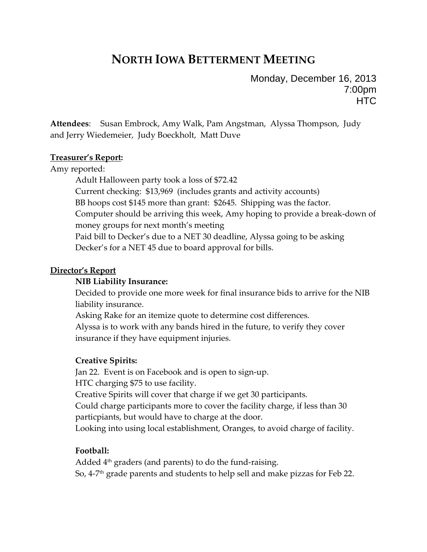# **NORTH IOWA BETTERMENT MEETING**

Monday, December 16, 2013 7:00pm **HTC** 

**Attendees**: Susan Embrock, Amy Walk, Pam Angstman, Alyssa Thompson, Judy and Jerry Wiedemeier, Judy Boeckholt, Matt Duve

#### **Treasurer's Report:**

Amy reported:

Adult Halloween party took a loss of \$72.42 Current checking: \$13,969 (includes grants and activity accounts) BB hoops cost \$145 more than grant: \$2645. Shipping was the factor. Computer should be arriving this week, Amy hoping to provide a break‐down of money groups for next month's meeting Paid bill to Decker's due to a NET 30 deadline, Alyssa going to be asking Decker's for a NET 45 due to board approval for bills.

#### **Director's Report**

#### **NIB Liability Insurance:**

Decided to provide one more week for final insurance bids to arrive for the NIB liability insurance.

Asking Rake for an itemize quote to determine cost differences.

Alyssa is to work with any bands hired in the future, to verify they cover insurance if they have equipment injuries.

## **Creative Spirits:**

Jan 22. Event is on Facebook and is open to sign‐up.

HTC charging \$75 to use facility.

Creative Spirits will cover that charge if we get 30 participants.

Could charge participants more to cover the facility charge, if less than 30 particpiants, but would have to charge at the door.

Looking into using local establishment, Oranges, to avoid charge of facility.

## **Football:**

Added  $4<sup>th</sup>$  graders (and parents) to do the fund-raising. So, 4‐7th grade parents and students to help sell and make pizzas for Feb 22.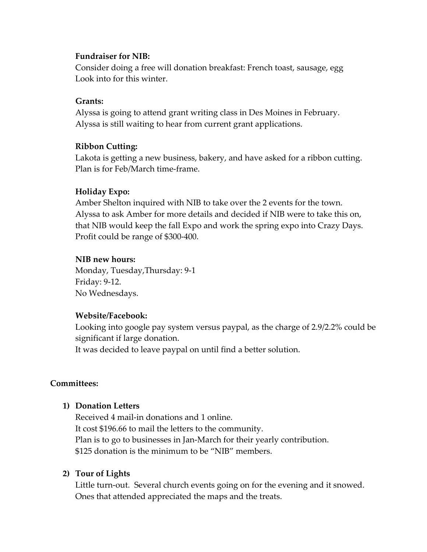#### **Fundraiser for NIB:**

Consider doing a free will donation breakfast: French toast, sausage, egg Look into for this winter.

## **Grants:**

Alyssa is going to attend grant writing class in Des Moines in February. Alyssa is still waiting to hear from current grant applications.

#### **Ribbon Cutting:**

Lakota is getting a new business, bakery, and have asked for a ribbon cutting. Plan is for Feb/March time‐frame.

#### **Holiday Expo:**

Amber Shelton inquired with NIB to take over the 2 events for the town. Alyssa to ask Amber for more details and decided if NIB were to take this on, that NIB would keep the fall Expo and work the spring expo into Crazy Days. Profit could be range of \$300‐400.

#### **NIB new hours:**

Monday, Tuesday,Thursday: 9‐1 Friday: 9‐12. No Wednesdays.

#### **Website/Facebook:**

Looking into google pay system versus paypal, as the charge of 2.9/2.2% could be significant if large donation.

It was decided to leave paypal on until find a better solution.

## **Committees:**

## **1) Donation Letters**

Received 4 mail‐in donations and 1 online. It cost \$196.66 to mail the letters to the community. Plan is to go to businesses in Jan‐March for their yearly contribution. \$125 donation is the minimum to be "NIB" members.

#### **2) Tour of Lights**

Little turn-out. Several church events going on for the evening and it snowed. Ones that attended appreciated the maps and the treats.